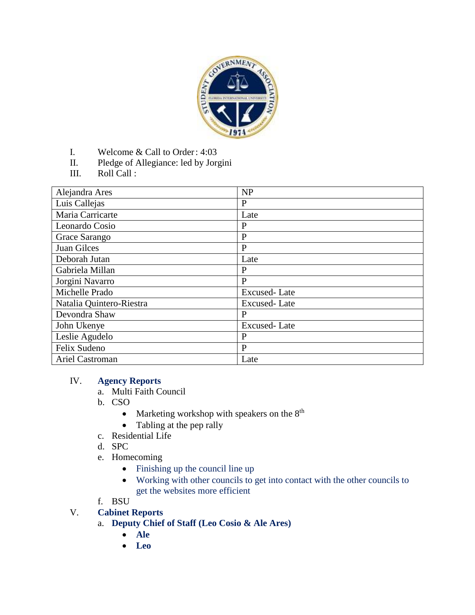

- I. Welcome & Call to Order: 4:03
- II. Pledge of Allegiance: led by Jorgini
- III. Roll Call :

| Alejandra Ares           | <b>NP</b>           |
|--------------------------|---------------------|
| Luis Callejas            | $\mathbf{P}$        |
| Maria Carricarte         | Late                |
| Leonardo Cosio           | $\mathbf{P}$        |
| Grace Sarango            | $\mathbf{P}$        |
| Juan Gilces              | $\mathbf{P}$        |
| Deborah Jutan            | Late                |
| Gabriela Millan          | P                   |
| Jorgini Navarro          | P                   |
| Michelle Prado           | Excused-Late        |
| Natalia Quintero-Riestra | <b>Excused-Late</b> |
| Devondra Shaw            | P                   |
| John Ukenye              | <b>Excused-Late</b> |
| Leslie Agudelo           | P                   |
| Felix Sudeno             | $\mathbf{P}$        |
| Ariel Castroman          | Late                |

#### IV. **Agency Reports**

- a. Multi Faith Council
- b. CSO
	- Marketing workshop with speakers on the  $8<sup>th</sup>$
	- Tabling at the pep rally
- c. Residential Life
- d. SPC
- e. Homecoming
	- Finishing up the council line up
	- Working with other councils to get into contact with the other councils to get the websites more efficient

#### f. BSU

V. **Cabinet Reports**

# a. **Deputy Chief of Staff (Leo Cosio & Ale Ares)**

- **Ale**
- **Leo**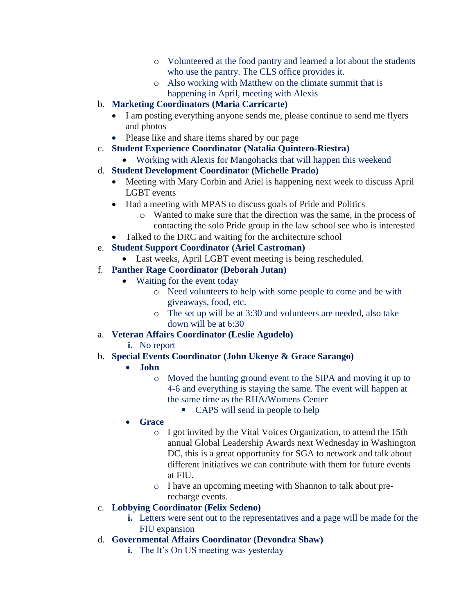- o Volunteered at the food pantry and learned a lot about the students who use the pantry. The CLS office provides it.
- o Also working with Matthew on the climate summit that is happening in April, meeting with Alexis
- b. **Marketing Coordinators (Maria Carricarte)**
	- I am posting everything anyone sends me, please continue to send me flyers and photos
	- Please like and share items shared by our page
- c. **Student Experience Coordinator (Natalia Quintero-Riestra)**
	- Working with Alexis for Mangohacks that will happen this weekend

## d. **Student Development Coordinator (Michelle Prado)**

- Meeting with Mary Corbin and Ariel is happening next week to discuss April LGBT events
- Had a meeting with MPAS to discuss goals of Pride and Politics
	- o Wanted to make sure that the direction was the same, in the process of contacting the solo Pride group in the law school see who is interested
- Talked to the DRC and waiting for the architecture school
- e. **Student Support Coordinator (Ariel Castroman)**
	- Last weeks, April LGBT event meeting is being rescheduled.

## f. **Panther Rage Coordinator (Deborah Jutan)**

- Waiting for the event today
	- o Need volunteers to help with some people to come and be with giveaways, food, etc.
	- o The set up will be at 3:30 and volunteers are needed, also take down will be at 6:30
- a. **Veteran Affairs Coordinator (Leslie Agudelo)**
	- **i.** No report

# b. **Special Events Coordinator (John Ukenye & Grace Sarango)**

#### **John**

- o Moved the hunting ground event to the SIPA and moving it up to 4-6 and everything is staying the same. The event will happen at the same time as the RHA/Womens Center
	- CAPS will send in people to help

# **Grace**

- o I got invited by the Vital Voices Organization, to attend the 15th annual Global Leadership Awards next Wednesday in Washington DC, this is a great opportunity for SGA to network and talk about different initiatives we can contribute with them for future events at FIU.
- o I have an upcoming meeting with Shannon to talk about prerecharge events.

# c. **Lobbying Coordinator (Felix Sedeno)**

- **i.** Letters were sent out to the representatives and a page will be made for the FIU expansion
- d. **Governmental Affairs Coordinator (Devondra Shaw)**
	- **i.** The It's On US meeting was yesterday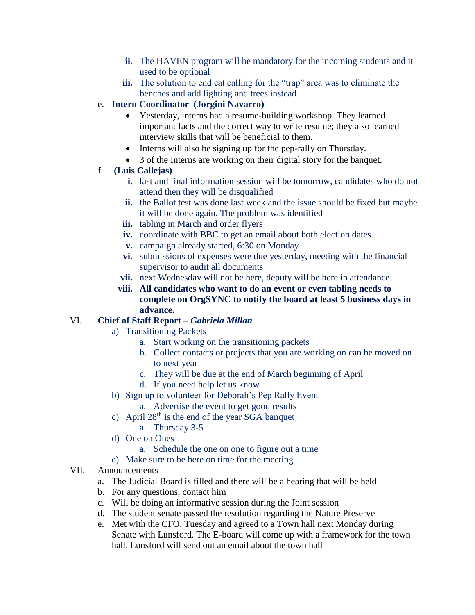- **ii.** The HAVEN program will be mandatory for the incoming students and it used to be optional
- **iii.** The solution to end cat calling for the "trap" area was to eliminate the benches and add lighting and trees instead
- e. **Intern Coordinator (Jorgini Navarro)**
	- Yesterday, interns had a resume-building workshop. They learned important facts and the correct way to write resume; they also learned interview skills that will be beneficial to them.
	- Interns will also be signing up for the pep-rally on Thursday.
	- 3 of the Interns are working on their digital story for the banquet.
- f. **(Luis Callejas)**
	- **i.** last and final information session will be tomorrow, candidates who do not attend then they will be disqualified
	- **ii.** the Ballot test was done last week and the issue should be fixed but maybe it will be done again. The problem was identified
	- **iii.** tabling in March and order flyers
	- **iv.** coordinate with BBC to get an email about both election dates
	- **v.** campaign already started, 6:30 on Monday
	- **vi.** submissions of expenses were due yesterday, meeting with the financial supervisor to audit all documents
	- **vii.** next Wednesday will not be here, deputy will be here in attendance.
	- **viii. All candidates who want to do an event or even tabling needs to complete on OrgSYNC to notify the board at least 5 business days in advance.**

#### VI. **Chief of Staff Report –** *Gabriela Millan*

- a) Transitioning Packets
	- a. Start working on the transitioning packets
	- b. Collect contacts or projects that you are working on can be moved on to next year
	- c. They will be due at the end of March beginning of April
	- d. If you need help let us know
- b) Sign up to volunteer for Deborah's Pep Rally Event
	- a. Advertise the event to get good results
- c) April  $28<sup>th</sup>$  is the end of the year SGA banquet
	- a. Thursday 3-5
- d) One on Ones
	- a. Schedule the one on one to figure out a time
- e) Make sure to be here on time for the meeting
- VII. Announcements
	- a. The Judicial Board is filled and there will be a hearing that will be held
	- b. For any questions, contact him
	- c. Will be doing an informative session during the Joint session
	- d. The student senate passed the resolution regarding the Nature Preserve
	- e. Met with the CFO, Tuesday and agreed to a Town hall next Monday during Senate with Lunsford. The E-board will come up with a framework for the town hall. Lunsford will send out an email about the town hall